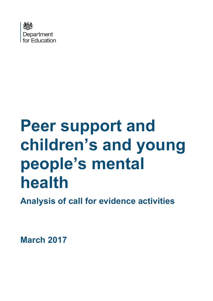

# **Peer support and children's and young people's mental health**

**Analysis of call for evidence activities**

<span id="page-0-0"></span>**March 2017**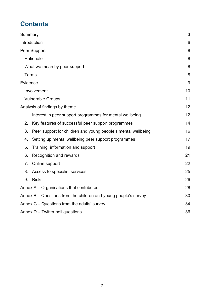# **Contents**

| Summary                                                             | 3  |
|---------------------------------------------------------------------|----|
| Introduction                                                        | 6  |
| Peer Support                                                        | 8  |
| Rationale                                                           | 8  |
| What we mean by peer support                                        | 8  |
| Terms                                                               | 8  |
| Evidence                                                            | 9  |
| Involvement                                                         | 10 |
| <b>Vulnerable Groups</b>                                            | 11 |
| Analysis of findings by theme                                       | 12 |
| Interest in peer support programmes for mental wellbeing<br>1.      | 12 |
| Key features of successful peer support programmes<br>2.            | 14 |
| 3.<br>Peer support for children and young people's mental wellbeing | 16 |
| Setting up mental wellbeing peer support programmes<br>4.           | 17 |
| 5.<br>Training, information and support                             | 19 |
| 6.<br>Recognition and rewards                                       | 21 |
| 7.<br>Online support                                                | 22 |
| 8.<br>Access to specialist services                                 | 25 |
| 9.<br><b>Risks</b>                                                  | 26 |
| Annex A – Organisations that contributed                            | 28 |
| Annex $B -$ Questions from the children and young people's survey   | 30 |
| Annex $C -$ Questions from the adults' survey                       | 34 |
| Annex $D -$ Twitter poll questions                                  | 36 |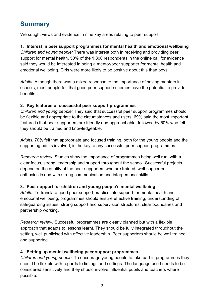# <span id="page-2-0"></span>**Summary**

We sought views and evidence in nine key areas relating to peer support:

## **1. Interest in peer support programmes for mental health and emotional wellbeing**

*Children and young people:* There was interest both in receiving and providing peer support for mental health. 50% of the 1,800 respondents in the online call for evidence said they would be interested in being a mentor/peer supporter for mental health and emotional wellbeing. Girls were more likely to be positive about this than boys.

*Adults:* Although there was a mixed response to the importance of having mentors in schools, most people felt that good peer support schemes have the potential to provide benefits.

## **2. Key features of successful peer support programmes**

*Children and young people:* They said that successful peer support programmes should be flexible and appropriate to the circumstances and users. 69% said the most important feature is that peer supporters are friendly and approachable, followed by 50% who felt they should be trained and knowledgeable.

*Adults:* 70% felt that appropriate and focused training, both for the young people and the supporting adults involved, is the key to any successful peer support programmes.

*Research review:* Studies show the importance of programmes being well run, with a clear focus, strong leadership and support throughout the school. Successful projects depend on the quality of the peer supporters who are trained, well-supported, enthusiastic and with strong communication and interpersonal skills.

## **3. Peer support for children and young people's mental wellbeing**

*Adults:* To translate good peer support practice into support for mental health and emotional wellbeing, programmes should ensure effective training, understanding of safeguarding issues, strong support and supervision structures, clear boundaries and partnership working.

*Research review:* Successful programmes are clearly planned but with a flexible approach that adapts to lessons learnt. They should be fully integrated throughout the setting, well publicised with effective leadership. Peer supporters should be well trained and supported.

## **4. Setting up mental wellbeing peer support programmes**

*Children and young people:* To encourage young people to take part in programmes they should be flexible with regards to timings and settings. The language used needs to be considered sensitively and they should involve influential pupils and teachers where possible.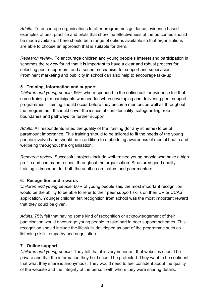*Adults:* To encourage organisations to offer programmes guidance, evidence based examples of best practice and pilots that show the effectiveness of the outcomes should be made available. There should be a range of options available so that organisations are able to choose an approach that is suitable for them.

*Research review:* To encourage children and young people's interest and participation in schemes the review found that it is important to have a clear and robust process for selecting peer supporters, and a sound mechanism for support and supervision. Prominent marketing and publicity in school can also help to encourage take-up.

## **5. Training, information and support**

*Children and young people:* 96% who responded to the online call for evidence felt that some training for participants was needed when developing and delivering peer support programmes. Training should occur before they become mentors as well as throughout the programme. It should cover the issues of confidentiality, safeguarding, role boundaries and pathways for further support.

*Adults:* All respondents listed the quality of the training (for any scheme) to be of paramount importance. This training should to be tailored to fit the needs of the young people involved and should be in addition to embedding awareness of mental health and wellbeing throughout the organisation.

*Research review:* Successful projects include well-trained young people who have a high profile and command respect throughout the organisation. Structured good quality training is important for both the adult co-ordinators and peer mentors.

## **6. Recognition and rewards**

*Children and young people:* 60% of young people said the most important recognition would be the ability to be able to refer to their peer support skills on their CV or UCAS application. Younger children felt recognition from school was the most important reward that they could be given.

*Adults:* 75% felt that having some kind of recognition or acknowledgement of their participation would encourage young people to take part in peer support schemes. This recognition should include the life-skills developed as part of the programme such as listening skills, empathy and negotiation.

## **7. Online support**

*Children and young people:* They felt that it is very important that websites should be private and that the information they hold should be protected. They want to be confident that what they share is anonymous. They would need to feel confident about the quality of the website and the integrity of the person with whom they were sharing details.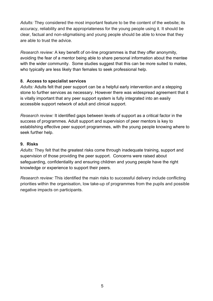*Adults:* They considered the most important feature to be the content of the website; its accuracy, reliability and the appropriateness for the young people using it. It should be clear, factual and non-stigmatising and young people should be able to know that they are able to trust the advice.

*Research review:* A key benefit of on-line programmes is that they offer anonymity, avoiding the fear of a mentor being able to share personal information about the mentee with the wider community. Some studies suggest that this can be more suited to males, who typically are less likely than females to seek professional help.

## **8. Access to specialist services**

*Adults:* Adults felt that peer support can be a helpful early intervention and a stepping stone to further services as necessary. However there was widespread agreement that it is vitally important that any peer support system is fully integrated into an easily accessible support network of adult and clinical support.

*Research review:* It identified gaps between levels of support as a critical factor in the success of programmes. Adult support and supervision of peer mentors is key to establishing effective peer support programmes, with the young people knowing where to seek further help.

## **9. Risks**

*Adults:* They felt that the greatest risks come through inadequate training, support and supervision of those providing the peer support. Concerns were raised about safeguarding, confidentiality and ensuring children and young people have the right knowledge or experience to support their peers.

*Research review:* This identified the main risks to successful delivery include conflicting priorities within the organisation, low take-up of programmes from the pupils and possible negative impacts on participants.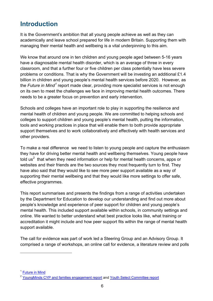# <span id="page-5-0"></span>**Introduction**

It is the Government's ambition that all young people achieve as well as they can academically and leave school prepared for life in modern Britain. Supporting them with managing their mental health and wellbeing is a vital underpinning to this aim.

We know that around one in ten children and young people aged between 5-16 years have a diagnosable mental health disorder, which is an average of three in every classroom, and that a further four or five children per class potentially have less severe problems or conditions. That is why the Government will be investing an additional £1.4 billion in children and young people's mental health services before 2020. However, as the *Future in Mind[1](#page-0-0)* report made clear, providing more specialist services is not enough on its own to meet the challenges we face in improving mental health outcomes. There needs to be a greater focus on prevention and early intervention.

Schools and colleges have an important role to play in supporting the resilience and mental health of children and young people. We are committed to helping schools and colleges to support children and young people's mental health, putting the information, tools and working practices in place that will enable them to both provide appropriate support themselves and to work collaboratively and effectively with health services and other providers.

To make a real difference we need to listen to young people and capture the enthusiasm they have for driving better mental health and wellbeing themselves. Young people have told us<sup>[2](#page-5-1)</sup> that when they need information or help for mental health concerns, apps or websites and their friends are the two sources they most frequently turn to first. They have also said that they would like to see more peer support available as a way of supporting their mental wellbeing and that they would like more settings to offer safe, effective programmes.

This report summarises and presents the findings from a range of activities undertaken by the Department for Education to develop our understanding and find out more about people's knowledge and experience of peer support for children and young people's mental health. This included support available within schools, in community settings and online. We wanted to better understand what best practice looks like, what training or accreditation it might include and how peer support fits within the range of mental health support available.

The call for evidence was part of work led a Steering Group and an Advisory Group. It comprised a range of workshops, an online call for evidence, a literature review and polls

<span id="page-5-2"></span> $\overline{a}$ 

<sup>&</sup>lt;sup>1</sup> [Future in Mind](https://www.gov.uk/government/uploads/system/uploads/attachment_data/file/414024/Childrens_Mental_Health.pdf)

<span id="page-5-1"></span><sup>&</sup>lt;sup>2</sup> [YoungMinds CYP and families engagement report](https://www.gov.uk/government/uploads/system/uploads/attachment_data/file/413411/Young_Minds.pdf) and [Youth Select Committee report](http://www.parliament.uk/youthselectcommittee-2015)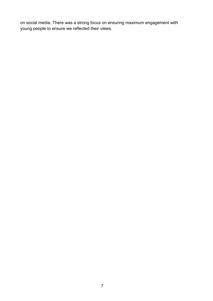on social media. There was a strong focus on ensuring maximum engagement with young people to ensure we reflected their views.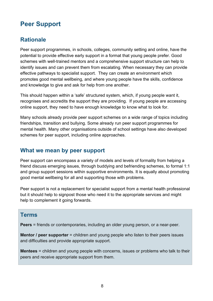# <span id="page-7-0"></span>**Peer Support**

## <span id="page-7-1"></span>**Rationale**

Peer support programmes, in schools, colleges, community setting and online, have the potential to provide effective early support in a format that young people prefer. Good schemes with well-trained mentors and a comprehensive support structure can help to identify issues and can prevent them from escalating. When necessary they can provide effective pathways to specialist support. They can create an environment which promotes good mental wellbeing, and where young people have the skills, confidence and knowledge to give and ask for help from one another.

This should happen within a 'safe' structured system, which, if young people want it, recognises and accredits the support they are providing. If young people are accessing online support, they need to have enough knowledge to know what to look for.

Many schools already provide peer support schemes on a wide range of topics including friendships, transition and bullying. Some already run peer support programmes for mental health. Many other organisations outside of school settings have also developed schemes for peer support, including online approaches.

## <span id="page-7-2"></span>**What we mean by peer support**

Peer support can encompass a variety of models and levels of formality from helping a friend discuss emerging issues, through buddying and befriending schemes, to formal 1:1 and group support sessions within supportive environments. It is equally about promoting good mental wellbeing for all and supporting those with problems.

Peer support is not a replacement for specialist support from a mental health professional but it should help to signpost those who need it to the appropriate services and might help to complement it going forwards.

## <span id="page-7-3"></span>**Terms**

**Peers** = friends or contemporaries, including an older young person, or a near-peer.

**Mentor / peer supporter** = children and young people who listen to their peers issues and difficulties and provide appropriate support.

**Mentees** = children and young people with concerns, issues or problems who talk to their peers and receive appropriate support from them.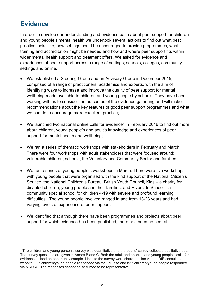# <span id="page-8-0"></span>**Evidence**

 $\overline{a}$ 

In order to develop our understanding and evidence base about peer support for children and young people's mental health we undertook several actions to find out what best practice looks like, how settings could be encouraged to provide programmes, what training and accreditation might be needed and how and where peer support fits within wider mental health support and treatment offers. We asked for evidence and experiences of peer support across a range of settings; schools, colleges, community settings and online.

- We established a Steering Group and an Advisory Group in December 2015, comprised of a range of practitioners, academics and experts, with the aim of identifying ways to increase and improve the quality of peer support for mental wellbeing made available to children and young people by schools. They have been working with us to consider the outcomes of the evidence gathering and will make recommendations about the key features of good peer support programmes and what we can do to encourage more excellent practice;
- We launched two national online calls for evidence<sup>[3](#page-5-2)</sup> in February 2016 to find out more about children, young people's and adult's knowledge and experiences of peer support for mental health and wellbeing;
- We ran a series of thematic workshops with stakeholders in February and March. There were four workshops with adult stakeholders that were focused around: vulnerable children, schools, the Voluntary and Community Sector and families;
- We ran a series of young people's workshops in March. There were five workshops with young people that were organised with the kind support of the National Citizen's Service, the National Children's Bureau, British Youth Council, Kids – a charity for disabled children, young people and their families, and Riverside School – a community special school for children 4-19 with severe and profound learning difficulties. The young people involved ranged in age from 13-23 years and had varying levels of experience of peer support;
- We identified that although there have been programmes and projects about peer support for which evidence has been published, there has been no central

<span id="page-8-1"></span> $3$  The children and young person's survey was quantitative and the adults' survey collected qualitative data. The survey questions are given in Annex B and C. Both the adult and children and young people's calls for evidence utilised an opportunity sample. Links to the survey were shared online via the DfE consultation website. 987 children/young people responded via the DfE site and 827 children/young people responded via NSPCC. The responses cannot be assumed to be representative.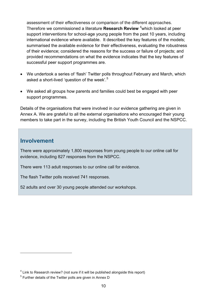assessment of their effectiveness or comparison of the different approaches. Therefore we commissioned a literature **Research Review** [4](#page-8-1) which looked at peer support interventions for school-age young people from the past 10 years, including international evidence where available. It described the key features of the models; summarised the available evidence for their effectiveness, evaluating the robustness of their evidence; considered the reasons for the success or failure of projects; and provided recommendations on what the evidence indicates that the key features of successful peer support programmes are.

- We undertook a series of 'flash' Twitter polls throughout February and March, which asked a short-lived 'question of the week'.<sup>[5](#page-9-1)</sup>
- We asked all groups how parents and families could best be engaged with peer support programmes.

Details of the organisations that were involved in our evidence gathering are given in Annex A. We are grateful to all the external organisations who encouraged their young members to take part in the survey, including the British Youth Council and the NSPCC.

## <span id="page-9-0"></span>**Involvement**

 $\overline{a}$ 

There were approximately 1,800 responses from young people to our online call for evidence, including 827 responses from the NSPCC.

There were 113 adult responses to our online call for evidence.

The flash Twitter polls received 741 responses.

52 adults and over 30 young people attended our workshops.

<span id="page-9-2"></span><sup>&</sup>lt;sup>4</sup> Link to Research review? (not sure if it will be published alongside this report)

<span id="page-9-1"></span> $5$  Further details of the Twitter polls are given in Annex D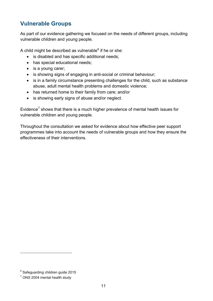## <span id="page-10-0"></span>**Vulnerable Groups**

As part of our evidence gathering we focused on the needs of different groups, including vulnerable children and young people.

A child might be described as vulnerable $6$  if he or she:

- is disabled and has specific additional needs;
- has special educational needs;
- is a young carer;
- is showing signs of engaging in anti-social or criminal behaviour;
- is in a family circumstance presenting challenges for the child, such as substance abuse, adult mental health problems and domestic violence;
- has returned home to their family from care; and/or
- is showing early signs of abuse and/or neglect.

Evidence<sup>[7](#page-10-1)</sup> shows that there is a much higher prevalence of mental health issues for vulnerable children and young people.

Throughout the consultation we asked for evidence about how effective peer support programmes take into account the needs of vulnerable groups and how they ensure the effectiveness of their interventions.

 $\overline{a}$ 

<sup>&</sup>lt;sup>6</sup> Safeguarding children guide 2015

<span id="page-10-1"></span> $<sup>7</sup>$  ONS 2004 mental health study</sup>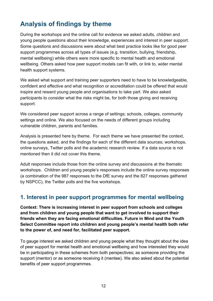# <span id="page-11-0"></span>**Analysis of findings by theme**

During the workshops and the online call for evidence we asked adults, children and young people questions about their knowledge, experiences and interest in peer support. Some questions and discussions were about what best practice looks like for good peer support programmes across all types of issues (e.g. transition, bullying, friendship, mental wellbeing) while others were more specific to mental health and emotional wellbeing. Others asked how peer support models can fit with, or link to, wider mental health support systems.

We asked what support and training peer supporters need to have to be knowledgeable, confident and effective and what recognition or accreditation could be offered that would inspire and reward young people and organisations to take part. We also asked participants to consider what the risks might be, for both those giving and receiving support.

We considered peer support across a range of settings; schools, colleges, community settings and online. We also focused on the needs of different groups including vulnerable children, parents and families.

Analysis is presented here by theme. For each theme we have presented the context, the questions asked, and the findings for each of the different data sources; workshops, online surveys, Twitter polls and the academic research review. If a data source is not mentioned then it did not cover this theme.

Adult responses include those from the online survey and discussions at the thematic workshops. Children and young people's responses include the online survey responses (a combination of the 987 responses to the DfE survey and the 827 responses gathered by NSPCC), the Twitter polls and the five workshops.

## <span id="page-11-1"></span>**1. Interest in peer support programmes for mental wellbeing**

**Context: There is increasing interest in peer support from schools and colleges and from children and young people that want to get involved to support their friends when they are facing emotional difficulties. Future in Mind and the Youth Select Committee report into children and young people's mental health both refer to the power of, and need for, facilitated peer support.**

To gauge interest we asked children and young people what they thought about the idea of peer support for mental health and emotional wellbeing and how interested they would be in participating in these schemes from both perspectives; as someone providing the support (mentor) or as someone receiving it (mentee). We also asked about the potential benefits of peer support programmes.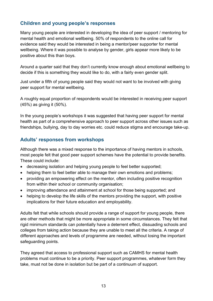## **Children and young people's responses**

Many young people are interested in developing the idea of peer support / mentoring for mental health and emotional wellbeing. 50% of respondents to the online call for evidence said they would be interested in being a mentor/peer supporter for mental wellbeing. Where it was possible to analyse by gender, girls appear more likely to be positive about this than boys.

Around a quarter said that they don't currently know enough about emotional wellbeing to decide if this is something they would like to do, with a fairly even gender split.

Just under a fifth of young people said they would not want to be involved with giving peer support for mental wellbeing.

A roughly equal proportion of respondents would be interested in receiving peer support (45%) as giving it (50%).

In the young people's workshops it was suggested that having peer support for mental health as part of a comprehensive approach to peer support across other issues such as friendships, bullying, day to day worries etc. could reduce stigma and encourage take-up.

## **Adults' responses from workshops**

Although there was a mixed response to the importance of having mentors in schools, most people felt that good peer support schemes have the potential to provide benefits. These could include:

- decreasing isolation and helping young people to feel better supported;
- helping them to feel better able to manage their own emotions and problems;
- providing an empowering effect on the mentor, often including positive recognition from within their school or community organisation;
- improving attendance and attainment at school for those being supported; and
- helping to develop the life skills of the mentors providing the support, with positive implications for their future education and employability.

Adults felt that while schools should provide a range of support for young people, there are other methods that might be more appropriate in some circumstances. They felt that rigid minimum standards can potentially have a deterrent effect, dissuading schools and colleges from taking action because they are unable to meet all the criteria. A range of different approaches and levels of programme are needed, without losing the important safeguarding points.

They agreed that access to professional support such as CAMHS for mental health problems must continue to be a priority. Peer support programmes, whatever form they take, must not be done in isolation but be part of a continuum of support.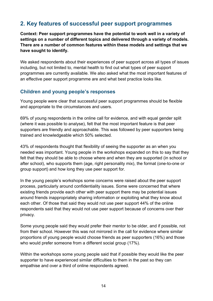## <span id="page-13-0"></span>**2. Key features of successful peer support programmes**

**Context: Peer support programmes have the potential to work well in a variety of settings on a number of different topics and delivered through a variety of models. There are a number of common features within these models and settings that we have sought to identify.**

We asked respondents about their experiences of peer support across all types of issues including, but not limited to, mental health to find out what types of peer support programmes are currently available. We also asked what the most important features of an effective peer support programme are and what best practice looks like.

## **Children and young people's responses**

Young people were clear that successful peer support programmes should be flexible and appropriate to the circumstances and users.

69% of young respondents in the online call for evidence, and with equal gender split (where it was possible to analyse), felt that the most important feature is that peer supporters are friendly and approachable. This was followed by peer supporters being trained and knowledgeable which 50% selected.

43% of respondents thought that flexibility of seeing the supporter as an when you needed was important. Young people in the workshops expanded on this to say that they felt that they should be able to choose where and when they are supported (in school or after school), who supports them (age, right personality mix), the format (one-to-one or group support) and how long they use peer support for.

In the young people's workshops some concerns were raised about the peer support process, particularly around confidentiality issues. Some were concerned that where existing friends provide each other with peer support there may be potential issues around friends inappropriately sharing information or exploiting what they know about each other. Of those that said they would not use peer support 44% of the online respondents said that they would not use peer support because of concerns over their privacy.

Some young people said they would prefer their mentor to be older, and if possible, not from their school. However this was not mirrored in the call for evidence where similar proportions of young people would choose friends as peer supporters (16%) and those who would prefer someone from a different social group (17%).

Within the workshops some young people said that if possible they would like the peer supporter to have experienced similar difficulties to them in the past so they can empathise and over a third of online respondents agreed.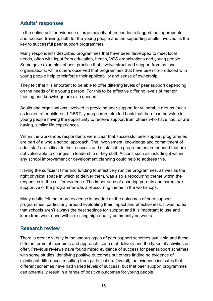## **Adults' responses**

In the online call for evidence a large majority of respondents flagged that appropriate and focused training, both for the young people and the supporting adults involved, is the key to successful peer support programmes.

Many respondents described programmes that have been developed to meet local needs, often with input from education, health, VCS organisations and young people. Some gave examples of best practice that involve structured support from national organisations, while others observed that programmes that have been co-produced with young people help to reinforce their applicability and sense of ownership.

They felt that it is important to be able to offer differing levels of peer support depending on the needs of the young person. For this to be effective differing levels of mentor training and knowledge are also needed.

Adults and organisations involved in providing peer support for vulnerable groups (such as looked after children, LGB&T, young carers etc) fed back that there can be value in young people having the opportunity to receive support from others who have had, or are having, similar life experiences.

Within the workshops respondents were clear that successful peer support programmes are part of a whole school approach. The involvement, knowledge and commitment of adult staff are critical to their success and sustainable programmes are needed that are not vulnerable to changes in leadership or key staff. Actions such as including it within any school improvement or development planning could help to address this.

Having the sufficient time and funding to effectively run the programmes, as well as the right physical space in which to deliver them, was also a reoccurring theme within the responses in the call for evidence. The importance of ensuring parents and carers are supportive of the programme was a reoccurring theme in the workshops.

Many adults felt that more evidence is needed on the outcomes of peer support programmes, particularly around evaluating their impact and effectiveness. It was noted that schools aren't always the best settings for support and it is important to use and learn from work done within existing high-quality community networks.

## **Research review**

There is great diversity in the various types of peer support schemes available and these differ in terms of their aims and approach, source of delivery and the types of activities on offer. Previous reviews have found mixed evidence of success for peer support schemes, with some studies identifying positive outcomes but others finding no evidence of significant differences resulting from participation. Overall, the evidence indicates that different schemes have had varied levels of success, but that peer support programmes can potentially result in a range of positive outcomes for young people.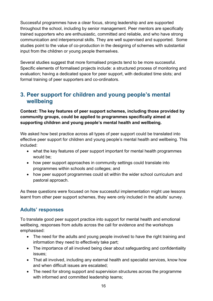Successful programmes have a clear focus, strong leadership and are supported throughout the school, including by senior management. Peer mentors are specifically trained supporters who are enthusiastic, committed and reliable, and who have strong communication and interpersonal skills. They are well supervised and supported. Some studies point to the value of co-production in the designing of schemes with substantial input from the children or young people themselves.

Several studies suggest that more formalised projects tend to be more successful. Specific elements of formalised projects include: a structured process of monitoring and evaluation; having a dedicated space for peer support, with dedicated time slots; and formal training of peer supporters and co-ordinators.

## <span id="page-15-0"></span>**3. Peer support for children and young people's mental wellbeing**

**Context: The key features of peer support schemes, including those provided by community groups, could be applied to programmes specifically aimed at supporting children and young people's mental health and wellbeing.** 

We asked how best practice across all types of peer support could be translated into effective peer support for children and young people's mental health and wellbeing. This included:

- what the key features of peer support important for mental health programmes would be;
- how peer support approaches in community settings could translate into programmes within schools and colleges; and
- how peer support programmes could sit within the wider school curriculum and pastoral approach.

As these questions were focused on how successful implementation might use lessons learnt from other peer support schemes, they were only included in the adults' survey.

## **Adults' responses**

To translate good peer support practice into support for mental health and emotional wellbeing, responses from adults across the call for evidence and the workshops emphasised:

- The need for the adults and young people involved to have the right training and information they need to effectively take part;
- The importance of all involved being clear about safeguarding and confidentiality issues;
- That all involved, including any external health and specialist services, know how and when difficult issues are escalated;
- The need for strong support and supervision structures across the programme with informed and committed leadership teams;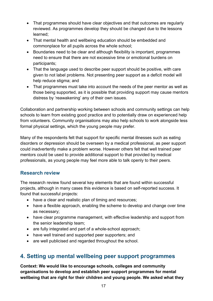- That programmes should have clear objectives and that outcomes are regularly reviewed. As programmes develop they should be changed due to the lessons learned;
- That mental health and wellbeing education should be embedded and commonplace for all pupils across the whole school;
- Boundaries need to be clear and although flexibility is important, programmes need to ensure that there are not excessive time or emotional burdens on participants;
- That the language used to describe peer support should be positive, with care given to not label problems. Not presenting peer support as a deficit model will help reduce stigma; and
- That programmes must take into account the needs of the peer mentor as well as those being supported, as it is possible that providing support may cause mentors distress by 'reawakening' any of their own issues.

Collaboration and partnership working between schools and community settings can help schools to learn from existing good practice and to potentially draw on experienced help from volunteers. Community organisations may also help schools to work alongside less formal physical settings, which the young people may prefer.

Many of the respondents felt that support for specific mental illnesses such as eating disorders or depression should be overseen by a medical professional, as peer support could inadvertently make a problem worse. However others felt that well trained peer mentors could be used to provide additional support to that provided by medical professionals, as young people may feel more able to talk openly to their peers.

## **Research review**

The research review found several key elements that are found within successful projects, although in many cases this evidence is based on self-reported success. It found that successful projects:

- have a clear and realistic plan of timing and resources;
- have a flexible approach, enabling the scheme to develop and change over time as necessary;
- have clear programme management, with effective leadership and support from the senior leadership team;
- are fully integrated and part of a whole-school approach;
- have well trained and supported peer supporters; and
- are well publicised and regarded throughout the school.

## <span id="page-16-0"></span>**4. Setting up mental wellbeing peer support programmes**

**Context: We would like to encourage schools, colleges and community organisations to develop and establish peer support programmes for mental wellbeing that are right for their children and young people. We asked what they**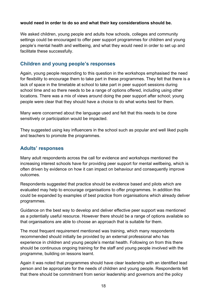## **would need in order to do so and what their key considerations should be.**

We asked children, young people and adults how schools, colleges and community settings could be encouraged to offer peer support programmes for children and young people's mental health and wellbeing, and what they would need in order to set up and facilitate these successfully.

## **Children and young people's responses**

Again, young people responding to this question in the workshops emphasised the need for flexibility to encourage them to take part in these programmes. They felt that there is a lack of space in the timetable at school to take part in peer support sessions during school time and so there needs to be a range of options offered, including using other locations. There was a mix of views around doing the peer support after school; young people were clear that they should have a choice to do what works best for them.

Many were concerned about the language used and felt that this needs to be done sensitively or participation would be impacted.

They suggested using key influencers in the school such as popular and well liked pupils and teachers to promote the programmes.

## **Adults' responses**

Many adult respondents across the call for evidence and workshops mentioned the increasing interest schools have for providing peer support for mental wellbeing, which is often driven by evidence on how it can impact on behaviour and consequently improve outcomes.

Respondents suggested that practice should be evidence based and pilots which are evaluated may help to encourage organisations to offer programmes. In addition this could be expanded by examples of best practice from organisations which already deliver programmes.

Guidance on the best way to develop and deliver effective peer support was mentioned as a potentially useful resource. However there should be a range of options available so that organisations are able to choose an approach that is suitable for them.

The most frequent requirement mentioned was training, which many respondents recommended should initially be provided by an external professional who has experience in children and young people's mental health. Following on from this there should be continuous ongoing training for the staff and young people involved with the programme, building on lessons learnt.

Again it was noted that programmes should have clear leadership with an identified lead person and be appropriate for the needs of children and young people. Respondents felt that there should be commitment from senior leadership and governors and the policy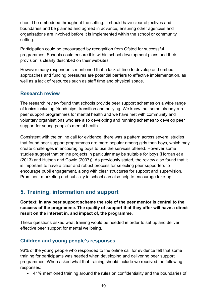should be embedded throughout the setting. It should have clear objectives and boundaries and be planned and agreed in advance, ensuring other agencies and organisations are involved before it is implemented within the school or community setting.

Participation could be encouraged by recognition from Ofsted for successful programmes. Schools could ensure it is within school development plans and their provision is clearly described on their websites.

However many respondents mentioned that a lack of time to develop and embed approaches and funding pressures are potential barriers to effective implementation, as well as a lack of resources such as staff time and physical space.

## **Research review**

The research review found that schools provide peer support schemes on a wide range of topics including friendships, transition and bullying. We know that some already run peer support programmes for mental health and we have met with community and voluntary organisations who are also developing and running schemes to develop peer support for young people's mental health.

Consistent with the online call for evidence, there was a pattern across several studies that found peer support programmes are more popular among girls than boys, which may create challenges in encouraging boys to use the services offered. However some studies suggest that online projects in particular may be suitable for boys (Horgan et al. (2013) and Hutson and Cowie (2007)). As previously stated, the review also found that it is important to have a clear and robust process for selecting peer supporters to encourage pupil engagement, along with clear structures for support and supervision. Prominent marketing and publicity in school can also help to encourage take-up.

## <span id="page-18-0"></span>**5. Training, information and support**

**Context: In any peer support scheme the role of the peer mentor is central to the success of the programme. The quality of support that they offer will have a direct result on the interest in, and impact of, the programme.** 

These questions asked what training would be needed in order to set up and deliver effective peer support for mental wellbeing.

## **Children and young people's responses**

96% of the young people who responded to the online call for evidence felt that some training for participants was needed when developing and delivering peer support programmes. When asked what that training should include we received the following responses:

• 41% mentioned training around the rules on confidentiality and the boundaries of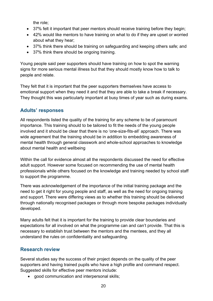the role;

- 37% felt it important that peer mentors should receive training before they begin;
- 42% would like mentors to have training on what to do if they are upset or worried about what they hear;
- 37% think there should be training on safeguarding and keeping others safe; and
- 37% think there should be ongoing training.

Young people said peer supporters should have training on how to spot the warning signs for more serious mental illness but that they should mostly know how to talk to people and relate.

They felt that it is important that the peer supporters themselves have access to emotional support when they need it and that they are able to take a break if necessary. They thought this was particularly important at busy times of year such as during exams.

## **Adults' responses**

All respondents listed the quality of the training for any scheme to be of paramount importance. This training should to be tailored to fit the needs of the young people involved and it should be clear that there is no 'one-size-fits-all' approach. There was wide agreement that the training should be in addition to embedding awareness of mental health through general classwork and whole-school approaches to knowledge about mental health and wellbeing

Within the call for evidence almost all the respondents discussed the need for effective adult support. However some focused on recommending the use of mental health professionals while others focused on the knowledge and training needed by school staff to support the programme.

There was acknowledgement of the importance of the initial training package and the need to get it right for young people and staff, as well as the need for ongoing training and support. There were differing views as to whether this training should be delivered through nationally recognised packages or through more bespoke packages individually developed.

Many adults felt that it is important for the training to provide clear boundaries and expectations for all involved on what the programme can and can't provide. That this is necessary to establish trust between the mentors and the mentees, and they all understand the rules on confidentiality and safeguarding.

## **Research review**

Several studies say the success of their project depends on the quality of the peer supporters and having trained pupils who have a high profile and command respect. Suggested skills for effective peer mentors include:

• good communication and interpersonal skills;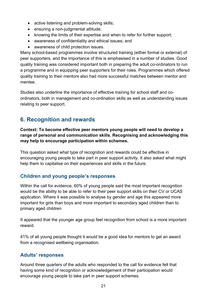- active listening and problem-solving skills;
- ensuring a non-judgmental attitude;
- knowing the limits of their expertise and when to refer for further support;
- awareness of confidentiality and ethical issues; and
- awareness of child protection issues.

Many school-based programmes involve structured training (either formal or external) of peer supporters, and the importance of this is emphasised in a number of studies. Good quality training was considered important both in preparing the adult co-ordinators to run a programme and in equipping peer supporters for their roles. Programmes which offered quality training to their mentors also had more successful matches between mentor and mentee.

Studies also underline the importance of effective training for school staff and coordinators, both in management and co-ordination skills as well as understanding issues relating to peer support.

## <span id="page-20-0"></span>**6. Recognition and rewards**

**Context: To become effective peer mentors young people will need to develop a range of personal and communication skills. Recognising and acknowledging this may help to encourage participation within schemes.** 

This question asked what type of recognition and rewards could be effective in encouraging young people to take part in peer support activity. It also asked what might help them to capitalise on their experiences and skills in the future.

## **Children and young people's responses**

Within the call for evidence, 60% of young people said the most important recognition would be the ability to be able to refer to their peer support skills on their CV or UCAS application. Where it was possible to analyse by gender and age this appeared more important for girls than boys and more important to secondary aged children than to primary aged children

It appeared that the younger age group feel recognition from school is a more important reward.

41% of all young people thought it would be a good idea for mentors to get an award from a recognised wellbeing organisation.

## **Adults' responses**

Around three quarters of the adults who responded to the call for evidence felt that having some kind of recognition or acknowledgement of their participation would encourage young people to take part in peer support schemes.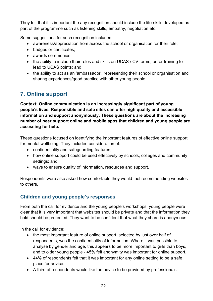They felt that it is important the any recognition should include the life-skills developed as part of the programme such as listening skills, empathy, negotiation etc.

Some suggestions for such recognition included:

- awareness/appreciation from across the school or organisation for their role;
- badges or certificates;
- awards ceremonies;
- the ability to include their roles and skills on UCAS / CV forms, or for training to lead to UCAS points; and
- the ability to act as an 'ambassador', representing their school or organisation and sharing experiences/good practice with other young people.

# <span id="page-21-0"></span>**7. Online support**

**Context: Online communication is an increasingly significant part of young people's lives. Responsible and safe sites can offer high quality and accessible information and support anonymously. These questions are about the increasing number of peer support online and mobile apps that children and young people are accessing for help.** 

These questions focused on identifying the important features of effective online support for mental wellbeing. They included consideration of:

- confidentiality and safeguarding features;
- how online support could be used effectively by schools, colleges and community settings; and
- ways to ensure quality of information, resources and support.

Respondents were also asked how comfortable they would feel recommending websites to others.

## **Children and young people's responses**

From both the call for evidence and the young people's workshops, young people were clear that it is very important that websites should be private and that the information they hold should be protected. They want to be confident that what they share is anonymous.

In the call for evidence:

- the most important feature of online support, selected by just over half of respondents, was the confidentiality of information. Where it was possible to analyse by gender and age, this appears to be more important to girls than boys, and to older young people - 45% felt anonymity was important for online support.
- 44% of respondents felt that it was important for any online setting to be a safe place for advice.
- A third of respondents would like the advice to be provided by professionals.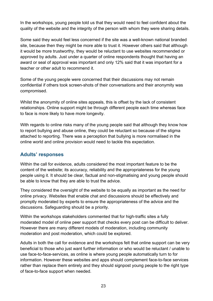In the workshops, young people told us that they would need to feel confident about the quality of the website and the integrity of the person with whom they were sharing details.

Some said they would feel less concerned if the site was a well-known national branded site, because then they might be more able to trust it. However others said that although it would be more trustworthy, they would be reluctant to use websites recommended or approved by adults. Just under a quarter of online respondents thought that having an award or seal of approval was important and only 12% said that it was important for a teacher or other adult to recommend it.

Some of the young people were concerned that their discussions may not remain confidential if others took screen-shots of their conversations and their anonymity was compromised.

Whilst the anonymity of online sites appeals, this is offset by the lack of consistent relationships. Online support might be through different people each time whereas face to face is more likely to have more longevity.

With regards to online risks many of the young people said that although they know how to report bullying and abuse online, they could be reluctant so because of the stigma attached to reporting. There was a perception that bullying is more normalised in the online world and online provision would need to tackle this expectation.

## **Adults' responses**

Within the call for evidence, adults considered the most important feature to be the content of the website; its accuracy, reliability and the appropriateness for the young people using it. It should be clear, factual and non-stigmatising and young people should be able to know that they are able to trust the advice.

They considered the oversight of the website to be equally as important as the need for online privacy. Websites that enable chat and discussions should be effectively and promptly moderated by experts to ensure the appropriateness of the advice and the discussions. Safeguarding should be a priority.

Within the workshops stakeholders commented that for high-traffic sites a fully moderated model of online peer support that checks every post can be difficult to deliver. However there are many different models of moderation, including community moderation and post moderation, which could be explored.

Adults in both the call for evidence and the workshops felt that online support can be very beneficial to those who just want further information or who would be reluctant / unable to use face-to-face-services, as online is where young people automatically turn to for information. However these websites and apps should complement face-to-face services rather than replace them entirely and they should signpost young people to the right type of face-to-face support when needed.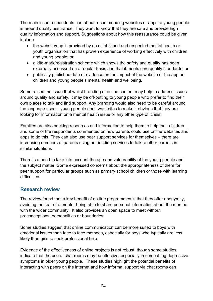The main issue respondents had about recommending websites or apps to young people is around quality assurance. They want to know that they are safe and provide high quality information and support. Suggestions about how this reassurance could be given include:

- the website/app is provided by an established and respected mental health or youth organisation that has proven experience of working effectively with children and young people; or
- a kite-mark/registration scheme which shows the safety and quality has been externally assessed on a regular basis and that it meets core quality standards; or
- publically published data or evidence on the impact of the website or the app on children and young people's mental health and wellbeing.

Some raised the issue that whilst branding of online content may help to address issues around quality and safety, it may be off-putting to young people who prefer to find their own places to talk and find support. Any branding would also need to be careful around the language used – young people don't want sites to make it obvious that they are looking for information on a mental health issue or any other type of 'crisis'.

Families are also seeking resources and information to help them to help their children and some of the respondents commented on how parents could use online websites and apps to do this. They can also use peer support services for themselves – there are increasing numbers of parents using befriending services to talk to other parents in similar situations

There is a need to take into account the age and vulnerability of the young people and the subject matter. Some expressed concerns about the appropriateness of them for peer support for particular groups such as primary school children or those with learning difficulties

## **Research review**

The review found that a key benefit of on-line programmes is that they offer anonymity, avoiding the fear of a mentor being able to share personal information about the mentee with the wider community. It also provides an open space to meet without preconceptions, personalities or boundaries.

Some studies suggest that online communication can be more suited to boys with emotional issues than face to face methods, especially for boys who typically are less likely than girls to seek professional help.

Evidence of the effectiveness of online projects is not robust, though some studies indicate that the use of chat rooms may be effective, especially in combatting depressive symptoms in older young people. These studies highlight the potential benefits of interacting with peers on the internet and how informal support via chat rooms can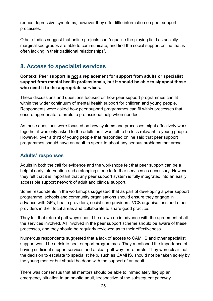reduce depressive symptoms; however they offer little information on peer support processes.

Other studies suggest that online projects can "equalise the playing field as socially marginalised groups are able to communicate, and find the social support online that is often lacking in their traditional relationships".

## <span id="page-24-0"></span>**8. Access to specialist services**

**Context: Peer support is not a replacement for support from adults or specialist support from mental health professionals, but it should be able to signpost those who need it to the appropriate services.** 

These discussions and questions focused on how peer support programmes can fit within the wider continuum of mental health support for children and young people. Respondents were asked how peer support programmes can fit within processes that ensure appropriate referrals to professional help when needed.

As these questions were focused on how systems and processes might effectively work together it was only asked to the adults as it was felt to be less relevant to young people. However, over a third of young people that responded online said that peer support programmes should have an adult to speak to about any serious problems that arose.

## **Adults' responses**

Adults in both the call for evidence and the workshops felt that peer support can be a helpful early intervention and a stepping stone to further services as necessary. However they felt that it is important that any peer support system is fully integrated into an easily accessible support network of adult and clinical support.

Some respondents in the workshops suggested that as part of developing a peer support programme, schools and community organisations should ensure they engage in advance with GPs, health providers, social care providers, VCS organisations and other providers in their local areas and collaborate to share good practice.

They felt that referral pathways should be drawn up in advance with the agreement of all the services involved. All involved in the peer support scheme should be aware of these processes, and they should be regularly reviewed as to their effectiveness.

Numerous respondents suggested that a lack of access to CAMHS and other specialist support would be a risk to peer support programmes. They mentioned the importance of having sufficient support services and a clear pathway for referrals. They were clear that the decision to escalate to specialist help, such as CAMHS, should not be taken solely by the young mentor but should be done with the support of an adult.

There was consensus that all mentors should be able to immediately flag up an emergency situation to an on-site adult, irrespective of the subsequent pathway.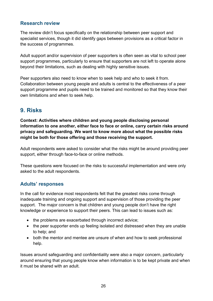## **Research review**

The review didn't focus specifically on the relationship between peer support and specialist services, though it did identify gaps between provisions as a critical factor in the success of programmes.

Adult support and/or supervision of peer supporters is often seen as vital to school peer support programmes, particularly to ensure that supporters are not left to operate alone beyond their limitations, such as dealing with highly sensitive issues.

Peer supporters also need to know when to seek help and who to seek it from. Collaboration between young people and adults is central to the effectiveness of a peer support programme and pupils need to be trained and monitored so that they know their own limitations and when to seek help.

## <span id="page-25-0"></span>**9. Risks**

**Context: Activities where children and young people disclosing personal information to one another, either face to face or online, carry certain risks around privacy and safeguarding. We want to know more about what the possible risks might be both for those offering and those receiving the support.**

Adult respondents were asked to consider what the risks might be around providing peer support, either through face-to-face or online methods.

These questions were focused on the risks to successful implementation and were only asked to the adult respondents.

## **Adults' responses**

In the call for evidence most respondents felt that the greatest risks come through inadequate training and ongoing support and supervision of those providing the peer support. The major concern is that children and young people don't have the right knowledge or experience to support their peers. This can lead to issues such as:

- the problems are exacerbated through incorrect advice;
- the peer supporter ends up feeling isolated and distressed when they are unable to help; and
- both the mentor and mentee are unsure of when and how to seek professional help.

Issues around safeguarding and confidentiality were also a major concern, particularly around ensuring that young people know when information is to be kept private and when it must be shared with an adult.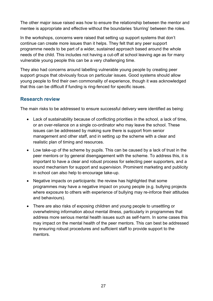The other major issue raised was how to ensure the relationship between the mentor and mentee is appropriate and effective without the boundaries 'blurring' between the roles.

In the workshops, concerns were raised that setting up support systems that don't continue can create more issues than it helps. They felt that any peer support programme needs to be part of a wider, sustained approach based around the whole needs of the child. This includes not having a cut-off at school leaving age as for many vulnerable young people this can be a very challenging time.

They also had concerns around labelling vulnerable young people by creating peer support groups that obviously focus on particular issues. Good systems should allow young people to find their own commonality of experience, though it was acknowledged that this can be difficult if funding is ring-fenced for specific issues.

## **Research review**

The main risks to be addressed to ensure successful delivery were identified as being:

- Lack of sustainability because of conflicting priorities in the school, a lack of time, or an over-reliance on a single co-ordinator who may leave the school. These issues can be addressed by making sure there is support from senior management and other staff, and in setting up the scheme with a clear and realistic plan of timing and resources.
- Low take-up of the scheme by pupils. This can be caused by a lack of trust in the peer mentors or by general disengagement with the scheme. To address this, it is important to have a clear and robust process for selecting peer supporters, and a sound mechanism for support and supervision. Prominent marketing and publicity in school can also help to encourage take-up.
- Negative impacts on participants: the review has highlighted that some programmes may have a negative impact on young people (e.g. bullying projects where exposure to others with experience of bullying may re-inforce their attitudes and behaviours).
- There are also risks of exposing children and young people to unsettling or overwhelming information about mental illness, particularly in programmes that address more serious mental health issues such as self-harm. In some cases this may impact on the mental health of the peer mentors. This can best be addressed by ensuring robust procedures and sufficient staff to provide support to the mentors.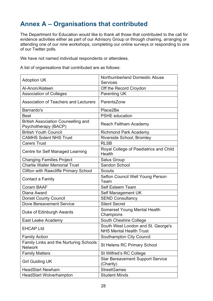# <span id="page-27-0"></span>**Annex A – Organisations that contributed**

The Department for Education would like to thank all those that contributed to the call for evidence activities either as part of our Advisory Group or through chairing, arranging or attending one of our nine workshops, completing our online surveys or responding to one of our Twitter polls.

We have not named individual respondents or attendees.

A list of organisations that contributed are as follows:

| <b>Adoption UK</b>                                                 | Northumberland Domestic Abuse<br><b>Services</b>                     |
|--------------------------------------------------------------------|----------------------------------------------------------------------|
| Al-Anon/Alateen                                                    | Off the Record Croydon                                               |
| <b>Association of Colleges</b>                                     | <b>Parenting UK</b>                                                  |
| Association of Teachers and Lecturers                              | ParentsZone                                                          |
| Barnardo's                                                         | Place2Be                                                             |
| <b>Beat</b>                                                        | <b>PSHE</b> education                                                |
| <b>British Association Counselling and</b><br>Psychotherapy (BACP) | Reach Feltham Academy                                                |
| <b>British Youth Council</b>                                       | <b>Richmond Park Academy</b>                                         |
| <b>CAMHS Solent NHS Trust</b>                                      | Riverside School, Bromley                                            |
| <b>Carers Trust</b>                                                | <b>RLSB</b>                                                          |
| Centre for Self Managed Learning                                   | Royal College of Paediatrics and Child<br>Health                     |
| <b>Changing Families Project</b>                                   | <b>Salus Group</b>                                                   |
| <b>Charlie Waller Memorial Trust</b>                               | Sandon School                                                        |
| <b>Clifton with Rawcliffe Primary School</b>                       | <b>Scouts</b>                                                        |
| Contact a Family                                                   | Sefton Council Well Young Person<br>Team                             |
| <b>Coram BAAF</b>                                                  | <b>Self Esteem Team</b>                                              |
| Diana Award                                                        | Self Management UK                                                   |
| <b>Dorset County Council</b>                                       | <b>SEND Consultancy</b>                                              |
| Dove Bereavement Service                                           | <b>Silent Secret</b>                                                 |
| Duke of Edinburgh Awards                                           | Somerset Young Mental Health<br>Champions                            |
| East Leake Academy                                                 | South Cheshire College                                               |
| <b>EHCAP Ltd</b>                                                   | South West London and St. George's<br><b>NHS Mental Health Trust</b> |
| <b>Family Action</b>                                               | Southampton City Council                                             |
| Family Links and the Nurturing Schools<br><b>Network</b>           | <b>St Helens RC Primary School</b>                                   |
| <b>Family Matters</b>                                              | St Wilfred's RC College                                              |
| <b>Girl Guiding UK</b>                                             | <b>Star Bereavement Support Service</b><br>(Charity)                 |
| <b>HeadStart Newham</b>                                            | <b>StreetGames</b>                                                   |
| <b>HeadStart Wolverhampton</b>                                     | <b>Student Minds</b>                                                 |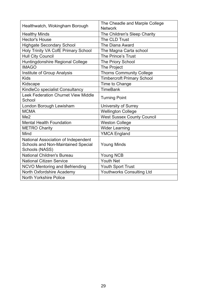| Healthwatch, Wokingham Borough                                                              | The Cheadle and Marple College<br><b>Network</b> |
|---------------------------------------------------------------------------------------------|--------------------------------------------------|
| <b>Healthy Minds</b>                                                                        | The Children's Sleep Charity                     |
| <b>Hector's House</b>                                                                       | The CLD Trust                                    |
| <b>Highgate Secondary School</b>                                                            | The Diana Award                                  |
| Holy Trinity VA CofE Primary School                                                         | The Magna Carta school                           |
| <b>Hull City Council</b>                                                                    | The Prince's Trust                               |
| Huntingdonshire Regional College                                                            | The Priory School                                |
| <b>IMAGO</b>                                                                                | The Project                                      |
| Institute of Group Analysis                                                                 | <b>Thorns Community College</b>                  |
| <b>Kids</b>                                                                                 | <b>Timbercroft Primary School</b>                |
| Kidscape                                                                                    | Time to Change                                   |
| KindleCo specialist Consultancy                                                             | <b>TimeBank</b>                                  |
| <b>Leek Federation Churnet View Middle</b><br>School                                        | <b>Turning Point</b>                             |
| London Borough Lewisham                                                                     | University of Surrey                             |
| <b>MCMA</b>                                                                                 | <b>Wellington College</b>                        |
| Me <sub>2</sub>                                                                             | <b>West Sussex County Council</b>                |
| <b>Mental Health Foundation</b>                                                             | <b>Weston College</b>                            |
| <b>METRO Charity</b>                                                                        | <b>Wider Learning</b>                            |
| Mind                                                                                        | <b>YMCA England</b>                              |
| National Association of Independent<br>Schools and Non-Maintained Special<br>Schools (NASS) | <b>Young Minds</b>                               |
| <b>National Children's Bureau</b>                                                           | Young NCB                                        |
| <b>National Citizen Service</b>                                                             | <b>Youth Net</b>                                 |
| <b>NCVO Mentoring and Befriending</b>                                                       | Youth Sport Trust                                |
| North Oxfordshire Academy                                                                   | <b>Youthworks Consulting Ltd</b>                 |
| <b>North Yorkshire Police</b>                                                               |                                                  |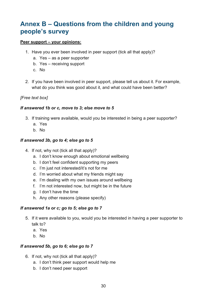# <span id="page-29-0"></span>**Annex B – Questions from the children and young people's survey**

## **Peer support – your opinions:**

- 1. Have you ever been involved in peer support (tick all that apply)?
	- a. Yes as a peer supporter
	- b. Yes receiving support
	- c. No
- 2. If you have been involved in peer support, please tell us about it. For example, what do you think was good about it, and what could have been better?

## *[Free text box]*

#### *If answered 1b or c, move to 3; else move to 5*

- 3. If training were available, would you be interested in being a peer supporter?
	- a. Yes
	- b. No

#### *If answered 3b, go to 4; else go to 5*

- 4. If not, why not (tick all that apply)?
	- a. I don't know enough about emotional wellbeing
	- b. I don't feel confident supporting my peers
	- c. I'm just not interested/it's not for me
	- d. I'm worried about what my friends might say
	- e. I'm dealing with my own issues around wellbeing
	- f. I'm not interested now, but might be in the future
	- g. I don't have the time
	- h. Any other reasons (please specify)

#### *If answered 1a or c; go to 5; else go to 7*

- 5. If it were available to you, would you be interested in having a peer supporter to talk to?
	- a. Yes
	- b. No

## *If answered 5b, go to 6; else go to 7*

- 6. If not, why not (tick all that apply)?
	- a. I don't think peer support would help me
	- b. I don't need peer support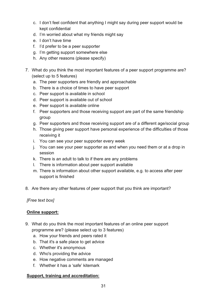- c. I don't feel confident that anything I might say during peer support would be kept confidential
- d. I'm worried about what my friends might say
- e. I don't have time
- f. I'd prefer to be a peer supporter
- g. I'm getting support somewhere else
- h. Any other reasons (please specify)
- 7. What do you think the most important features of a peer support programme are? (select up to 5 features)
	- a. The peer supporters are friendly and approachable
	- b. There is a choice of times to have peer support
	- c. Peer support is available in school
	- d. Peer support is available out of school
	- e. Peer support is available online
	- f. Peer supporters and those receiving support are part of the same friendship group
	- g. Peer supporters and those receiving support are of a different age/social group
	- h. Those giving peer support have personal experience of the difficulties of those receiving it
	- i. You can see your peer supporter every week
	- j. You can see your peer supporter as and when you need them or at a drop in session
	- k. There is an adult to talk to if there are any problems
	- l. There is information about peer support available
	- m. There is information about other support available, e.g. to access after peer support is finished
- 8. Are there any other features of peer support that you think are important?

*[Free text box]*

## **Online support:**

- 9. What do you think the most important features of an online peer support programme are? (please select up to 3 features)
	- a. How your friends and peers rated it
	- b. That it's a safe place to get advice
	- c. Whether it's anonymous
	- d. Who's providing the advice
	- e. How negative comments are managed
	- f. Whether it has a 'safe' kitemark

## **Support, training and accreditation:**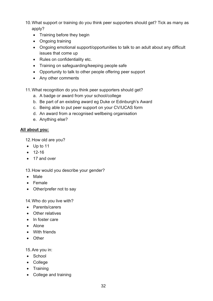10.What support or training do you think peer supporters should get? Tick as many as apply?

- Training before they begin
- Ongoing training
- Ongoing emotional support/opportunities to talk to an adult about any difficult issues that come up
- Rules on confidentiality etc.
- Training on safeguarding/keeping people safe
- Opportunity to talk to other people offering peer support
- Any other comments
- 11.What recognition do you think peer supporters should get?
	- a. A badge or award from your school/college
	- b. Be part of an existing award eg Duke or Edinburgh's Award
	- c. Being able to put peer support on your CV/UCAS form
	- d. An award from a recognised wellbeing organisation
	- e. Anything else?

## **All about you:**

12.How old are you?

- Up to 11
- 12-16
- 17 and over

13.How would you describe your gender?

- Male
- Female
- Other/prefer not to say

14.Who do you live with?

- Parents/carers
- Other relatives
- In foster care
- Alone
- With friends
- Other

15.Are you in:

- School
- College
- Training
- College and training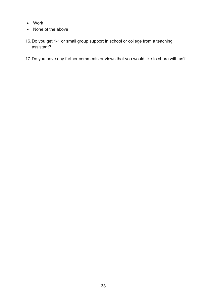- Work
- None of the above
- 16.Do you get 1-1 or small group support in school or college from a teaching assistant?
- 17.Do you have any further comments or views that you would like to share with us?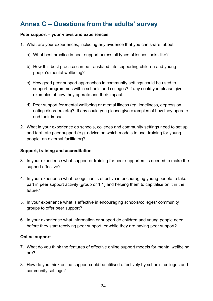# <span id="page-33-0"></span>**Annex C – Questions from the adults' survey**

#### **Peer support – your views and experiences**

- 1. What are your experiences, including any evidence that you can share, about:
	- a) What best practice in peer support across all types of issues looks like?
	- b) How this best practice can be translated into supporting children and young people's mental wellbeing?
	- c) How good peer support approaches in community settings could be used to support programmes within schools and colleges? If any could you please give examples of how they operate and their impact.
	- d) Peer support for mental wellbeing or mental illness (eg. loneliness, depression, eating disorders etc)? If any could you please give examples of how they operate and their impact.
- 2. What in your experience do schools, colleges and community settings need to set up and facilitate peer support (e.g. advice on which models to use, training for young people, an external facilitator)?

#### **Support, training and accreditation**

- 3. In your experience what support or training for peer supporters is needed to make the support effective?
- 4. In your experience what recognition is effective in encouraging young people to take part in peer support activity (group or 1:1) and helping them to capitalise on it in the future?
- 5. In your experience what is effective in encouraging schools/colleges/ community groups to offer peer support?
- 6. In your experience what information or support do children and young people need before they start receiving peer support, or while they are having peer support?

## **Online support**

- 7. What do you think the features of effective online support models for mental wellbeing are?
- 8. How do you think online support could be utilised effectively by schools, colleges and community settings?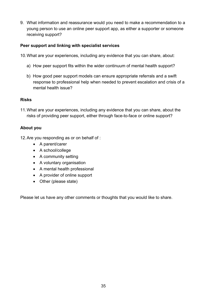9. What information and reassurance would you need to make a recommendation to a young person to use an online peer support app, as either a supporter or someone receiving support?

## **Peer support and linking with specialist services**

- 10.What are your experiences, including any evidence that you can share, about:
	- a) How peer support fits within the wider continuum of mental health support?
	- b) How good peer support models can ensure appropriate referrals and a swift response to professional help when needed to prevent escalation and crisis of a mental health issue?

## **Risks**

11.What are your experiences, including any evidence that you can share, about the risks of providing peer support, either through face-to-face or online support?

## **About you**

- 12.Are you responding as or on behalf of :
	- A parent/carer
	- A school/college
	- A community setting
	- A voluntary organisation
	- A mental health professional
	- A provider of online support
	- Other (please state)

Please let us have any other comments or thoughts that you would like to share.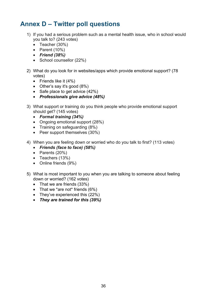# <span id="page-35-0"></span>**Annex D – Twitter poll questions**

- 1) If you had a serious problem such as a mental health issue, who in school would you talk to? (243 votes)
	- Teacher (30%)
	- Parent  $(10%)$
	- *Friend (38%)*
	- School counsellor (22%)
- 2) What do you look for in websites/apps which provide emotional support? (78 votes)
	- Friends like it  $(4%)$
	- Other's say it's good (8%)
	- Safe place to get advice (42%)
	- *Professionals give advice (48%)*
- 3) What support or training do you think people who provide emotional support should get? (145 votes)
	- *Formal training (34%)*
	- Ongoing emotional support (28%)
	- Training on safeguarding (8%)
	- Peer support themselves (30%)
- 4) When you are feeling down or worried who do you talk to first? (113 votes)
	- *Friends (face to face) (58%)*
	- Parents (20%)
	- Teachers (13%)
	- Online friends (9%)
- 5) What is most important to you when you are talking to someone about feeling down or worried? (162 votes)
	- That we are friends (33%)
	- That we \*are not\* friends (6%)
	- They've experienced this (22%)
	- *They are trained for this (39%)*